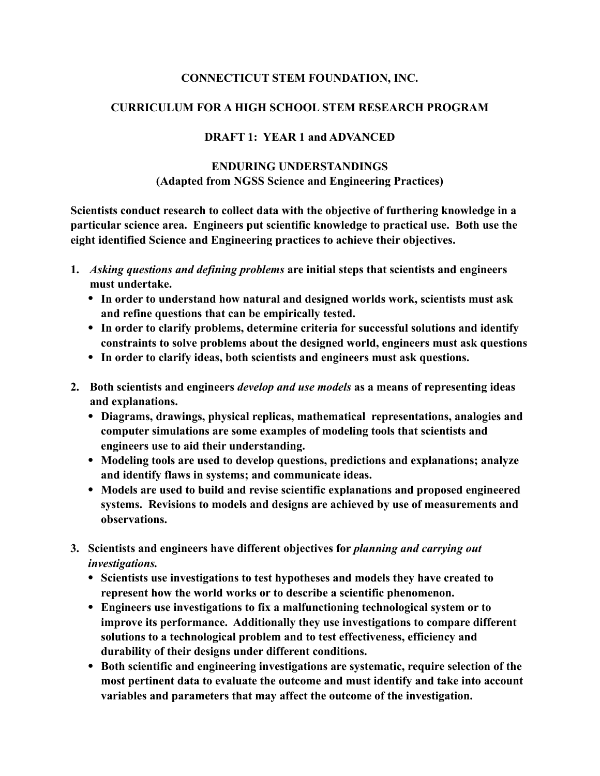## **CONNECTICUT STEM FOUNDATION, INC.**

## **CURRICULUM FOR A HIGH SCHOOL STEM RESEARCH PROGRAM**

## **DRAFT 1: YEAR 1 and ADVANCED**

## **ENDURING UNDERSTANDINGS (Adapted from NGSS Science and Engineering Practices)**

**Scientists conduct research to collect data with the objective of furthering knowledge in a particular science area. Engineers put scientific knowledge to practical use. Both use the eight identified Science and Engineering practices to achieve their objectives.** 

- **1.** *Asking questions and defining problems* **are initial steps that scientists and engineers must undertake.** 
	- **• In order to understand how natural and designed worlds work, scientists must ask and refine questions that can be empirically tested.**
	- **• In order to clarify problems, determine criteria for successful solutions and identify constraints to solve problems about the designed world, engineers must ask questions**
	- **• In order to clarify ideas, both scientists and engineers must ask questions.**
- **2. Both scientists and engineers** *develop and use models* **as a means of representing ideas and explanations.** 
	- **• Diagrams, drawings, physical replicas, mathematical representations, analogies and computer simulations are some examples of modeling tools that scientists and engineers use to aid their understanding.**
	- **• Modeling tools are used to develop questions, predictions and explanations; analyze and identify flaws in systems; and communicate ideas.**
	- **• Models are used to build and revise scientific explanations and proposed engineered systems. Revisions to models and designs are achieved by use of measurements and observations.**
- **3. Scientists and engineers have different objectives for** *planning and carrying out investigations.* 
	- **• Scientists use investigations to test hypotheses and models they have created to represent how the world works or to describe a scientific phenomenon.**
	- **• Engineers use investigations to fix a malfunctioning technological system or to improve its performance. Additionally they use investigations to compare different solutions to a technological problem and to test effectiveness, efficiency and durability of their designs under different conditions.**
	- **• Both scientific and engineering investigations are systematic, require selection of the most pertinent data to evaluate the outcome and must identify and take into account variables and parameters that may affect the outcome of the investigation.**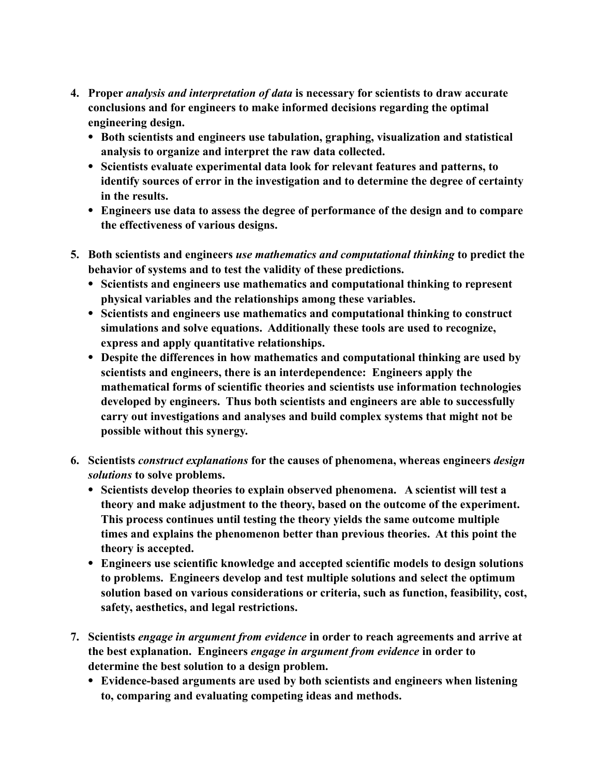- **4. Proper** *analysis and interpretation of data* **is necessary for scientists to draw accurate conclusions and for engineers to make informed decisions regarding the optimal engineering design.** 
	- **• Both scientists and engineers use tabulation, graphing, visualization and statistical analysis to organize and interpret the raw data collected.**
	- **• Scientists evaluate experimental data look for relevant features and patterns, to identify sources of error in the investigation and to determine the degree of certainty in the results.**
	- **• Engineers use data to assess the degree of performance of the design and to compare the effectiveness of various designs.**
- **5. Both scientists and engineers** *use mathematics and computational thinking* **to predict the behavior of systems and to test the validity of these predictions.** 
	- **• Scientists and engineers use mathematics and computational thinking to represent physical variables and the relationships among these variables.**
	- **• Scientists and engineers use mathematics and computational thinking to construct simulations and solve equations. Additionally these tools are used to recognize, express and apply quantitative relationships.**
	- **• Despite the differences in how mathematics and computational thinking are used by scientists and engineers, there is an interdependence: Engineers apply the mathematical forms of scientific theories and scientists use information technologies developed by engineers. Thus both scientists and engineers are able to successfully carry out investigations and analyses and build complex systems that might not be possible without this synergy.**
- **6. Scientists** *construct explanations* **for the causes of phenomena, whereas engineers** *design solutions* **to solve problems.** 
	- **• Scientists develop theories to explain observed phenomena. A scientist will test a theory and make adjustment to the theory, based on the outcome of the experiment. This process continues until testing the theory yields the same outcome multiple times and explains the phenomenon better than previous theories. At this point the theory is accepted.**
	- **• Engineers use scientific knowledge and accepted scientific models to design solutions to problems. Engineers develop and test multiple solutions and select the optimum solution based on various considerations or criteria, such as function, feasibility, cost, safety, aesthetics, and legal restrictions.**
- **7. Scientists** *engage in argument from evidence* **in order to reach agreements and arrive at the best explanation. Engineers** *engage in argument from evidence* **in order to determine the best solution to a design problem.** 
	- **• Evidence-based arguments are used by both scientists and engineers when listening to, comparing and evaluating competing ideas and methods.**